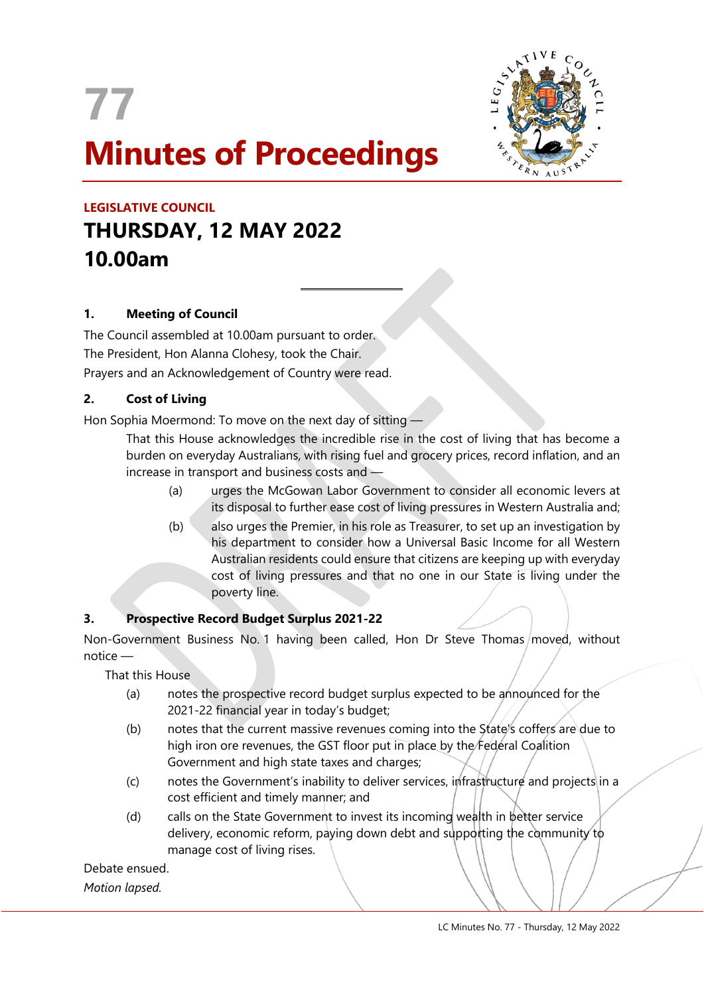

 $\overline{a}$ 



# **LEGISLATIVE COUNCIL THURSDAY, 12 MAY 2022 10.00am**

# **1. Meeting of Council**

The Council assembled at 10.00am pursuant to order. The President, Hon Alanna Clohesy, took the Chair. Prayers and an Acknowledgement of Country were read.

# **2. Cost of Living**

Hon Sophia Moermond: To move on the next day of sitting —

That this House acknowledges the incredible rise in the cost of living that has become a burden on everyday Australians, with rising fuel and grocery prices, record inflation, and an increase in transport and business costs and —

- (a) urges the McGowan Labor Government to consider all economic levers at its disposal to further ease cost of living pressures in Western Australia and;
- (b) also urges the Premier, in his role as Treasurer, to set up an investigation by his department to consider how a Universal Basic Income for all Western Australian residents could ensure that citizens are keeping up with everyday cost of living pressures and that no one in our State is living under the poverty line.

# **3. Prospective Record Budget Surplus 2021-22**

Non-Government Business No. 1 having been called, Hon Dr Steve Thomas/moved, without notice —

That this House

- (a) notes the prospective record budget surplus expected to be announced for the 2021-22 financial year in today's budget;
- (b) notes that the current massive revenues coming into the State's coffers are due to high iron ore revenues, the GST floor put in place by the Federal Coalition Government and high state taxes and charges;
- (c) notes the Government's inability to deliver services, infrastructure and projects in a cost efficient and timely manner; and
- (d) calls on the State Government to invest its incoming wealth in better service delivery, economic reform, paying down debt and supporting the community to manage cost of living rises.

Debate ensued. *Motion lapsed.*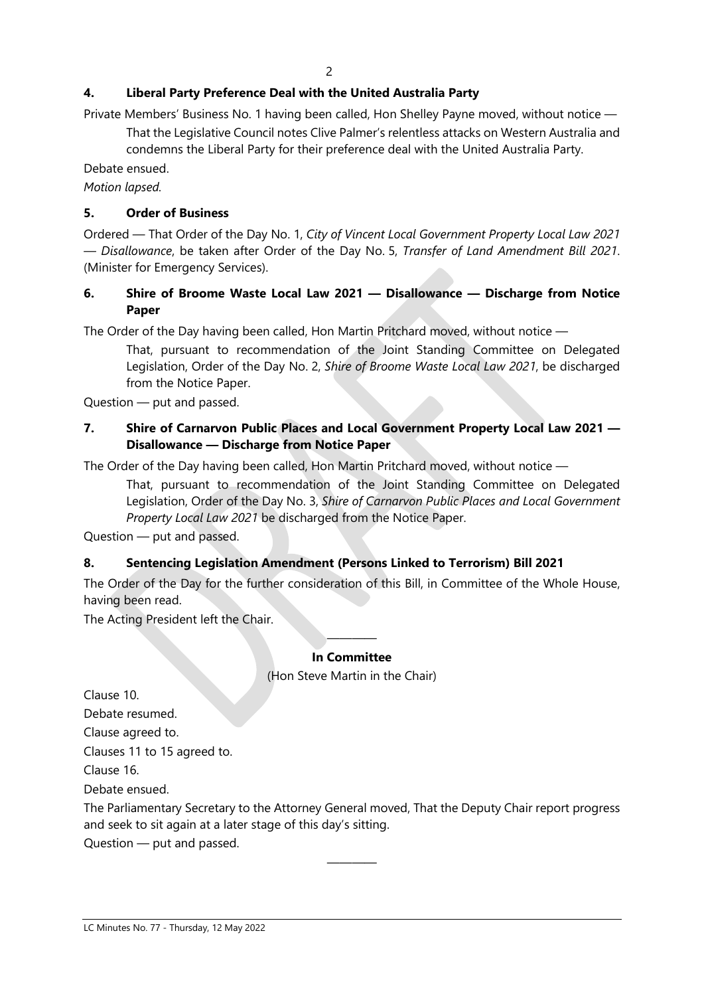# **4. Liberal Party Preference Deal with the United Australia Party**

Private Members' Business No. 1 having been called, Hon Shelley Payne moved, without notice —

That the Legislative Council notes Clive Palmer's relentless attacks on Western Australia and condemns the Liberal Party for their preference deal with the United Australia Party.

Debate ensued.

*Motion lapsed.*

# **5. Order of Business**

Ordered — That Order of the Day No. 1, *City of Vincent Local Government Property Local Law 2021 — Disallowance*, be taken after Order of the Day No. 5, *Transfer of Land Amendment Bill 2021*. (Minister for Emergency Services).

# **6. Shire of Broome Waste Local Law 2021 — Disallowance — Discharge from Notice Paper**

The Order of the Day having been called, Hon Martin Pritchard moved, without notice —

That, pursuant to recommendation of the Joint Standing Committee on Delegated Legislation, Order of the Day No. 2, *Shire of Broome Waste Local Law 2021*, be discharged from the Notice Paper.

Question — put and passed.

# **7. Shire of Carnarvon Public Places and Local Government Property Local Law 2021 — Disallowance — Discharge from Notice Paper**

The Order of the Day having been called, Hon Martin Pritchard moved, without notice —

That, pursuant to recommendation of the Joint Standing Committee on Delegated Legislation, Order of the Day No. 3, *Shire of Carnarvon Public Places and Local Government Property Local Law 2021* be discharged from the Notice Paper.

Question — put and passed.

# **8. Sentencing Legislation Amendment (Persons Linked to Terrorism) Bill 2021**

The Order of the Day for the further consideration of this Bill, in Committee of the Whole House, having been read.

The Acting President left the Chair.

#### ———— **In Committee**

(Hon Steve Martin in the Chair)

Clause 10.

Debate resumed.

Clause agreed to.

Clauses 11 to 15 agreed to.

Clause 16.

Debate ensued.

The Parliamentary Secretary to the Attorney General moved, That the Deputy Chair report progress and seek to sit again at a later stage of this day's sitting.

————

Question — put and passed.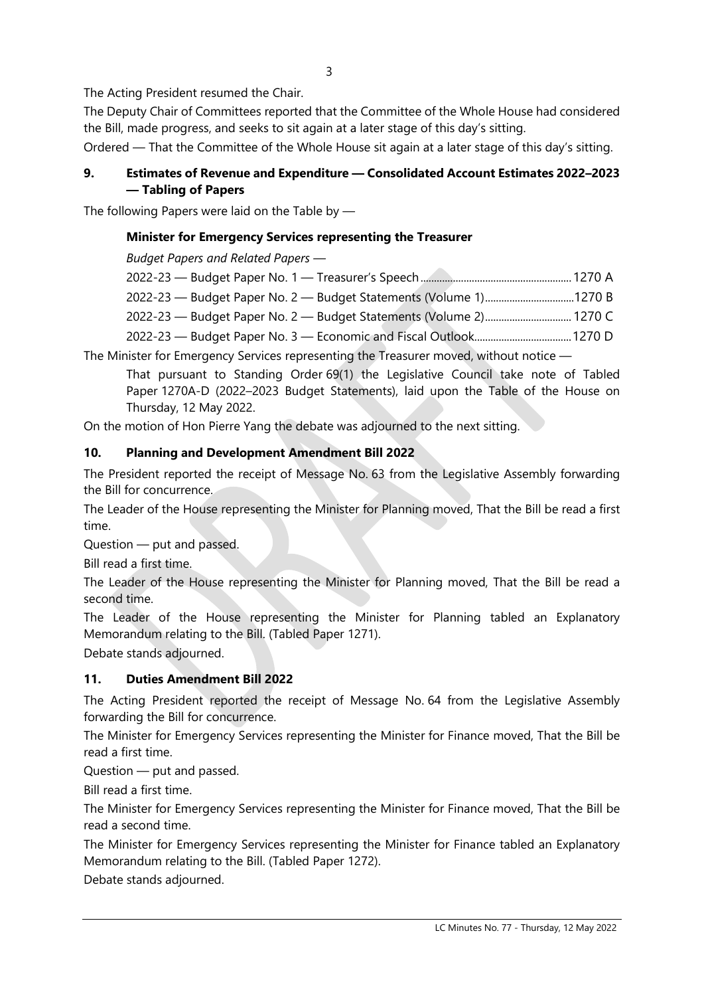3

The Acting President resumed the Chair.

The Deputy Chair of Committees reported that the Committee of the Whole House had considered the Bill, made progress, and seeks to sit again at a later stage of this day's sitting.

Ordered — That the Committee of the Whole House sit again at a later stage of this day's sitting.

# **9. Estimates of Revenue and Expenditure — Consolidated Account Estimates 2022–2023 — Tabling of Papers**

The following Papers were laid on the Table by —

# **Minister for Emergency Services representing the Treasurer**

*Budget Papers and Related Papers —*

The Minister for Emergency Services representing the Treasurer moved, without notice —

That pursuant to Standing Order 69(1) the Legislative Council take note of Tabled Paper 1270A-D (2022–2023 Budget Statements), laid upon the Table of the House on Thursday, 12 May 2022.

On the motion of Hon Pierre Yang the debate was adjourned to the next sitting.

#### **10. Planning and Development Amendment Bill 2022**

The President reported the receipt of Message No. 63 from the Legislative Assembly forwarding the Bill for concurrence.

The Leader of the House representing the Minister for Planning moved, That the Bill be read a first time.

Question — put and passed.

Bill read a first time.

The Leader of the House representing the Minister for Planning moved, That the Bill be read a second time.

The Leader of the House representing the Minister for Planning tabled an Explanatory Memorandum relating to the Bill. (Tabled Paper 1271).

Debate stands adjourned.

# **11. Duties Amendment Bill 2022**

The Acting President reported the receipt of Message No. 64 from the Legislative Assembly forwarding the Bill for concurrence.

The Minister for Emergency Services representing the Minister for Finance moved, That the Bill be read a first time.

Question — put and passed.

Bill read a first time.

The Minister for Emergency Services representing the Minister for Finance moved, That the Bill be read a second time.

The Minister for Emergency Services representing the Minister for Finance tabled an Explanatory Memorandum relating to the Bill. (Tabled Paper 1272).

Debate stands adjourned.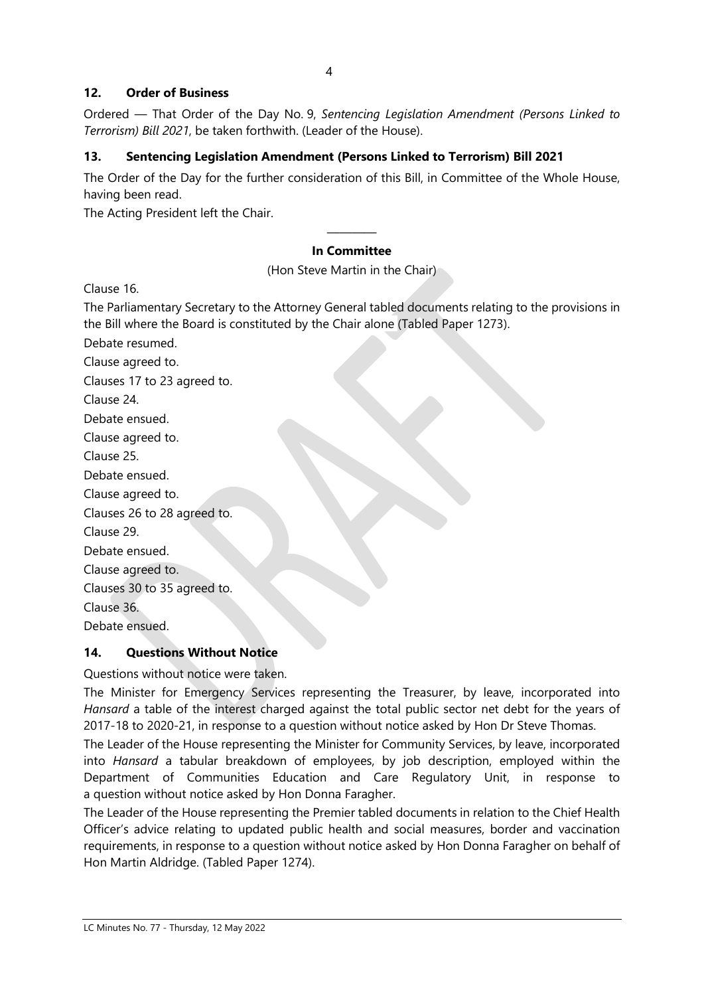#### **12. Order of Business**

Ordered — That Order of the Day No. 9, *Sentencing Legislation Amendment (Persons Linked to Terrorism) Bill 2021*, be taken forthwith. (Leader of the House).

#### **13. Sentencing Legislation Amendment (Persons Linked to Terrorism) Bill 2021**

The Order of the Day for the further consideration of this Bill, in Committee of the Whole House, having been read.

The Acting President left the Chair.

#### ———— **In Committee**

(Hon Steve Martin in the Chair)

Clause 16.

The Parliamentary Secretary to the Attorney General tabled documents relating to the provisions in the Bill where the Board is constituted by the Chair alone (Tabled Paper 1273).

Debate resumed. Clause agreed to.

Clauses 17 to 23 agreed to.

Clause 24.

Debate ensued.

Clause agreed to.

Clause 25.

Debate ensued.

Clause agreed to.

Clauses 26 to 28 agreed to.

Clause 29.

Debate ensued.

Clause agreed to.

Clauses 30 to 35 agreed to.

Clause 36.

Debate ensued.

#### **14. Questions Without Notice**

Questions without notice were taken.

The Minister for Emergency Services representing the Treasurer, by leave, incorporated into *Hansard* a table of the interest charged against the total public sector net debt for the years of 2017-18 to 2020-21, in response to a question without notice asked by Hon Dr Steve Thomas.

The Leader of the House representing the Minister for Community Services, by leave, incorporated into *Hansard* a tabular breakdown of employees, by job description, employed within the Department of Communities Education and Care Regulatory Unit, in response to a question without notice asked by Hon Donna Faragher.

The Leader of the House representing the Premier tabled documents in relation to the Chief Health Officer's advice relating to updated public health and social measures, border and vaccination requirements, in response to a question without notice asked by Hon Donna Faragher on behalf of Hon Martin Aldridge. (Tabled Paper 1274).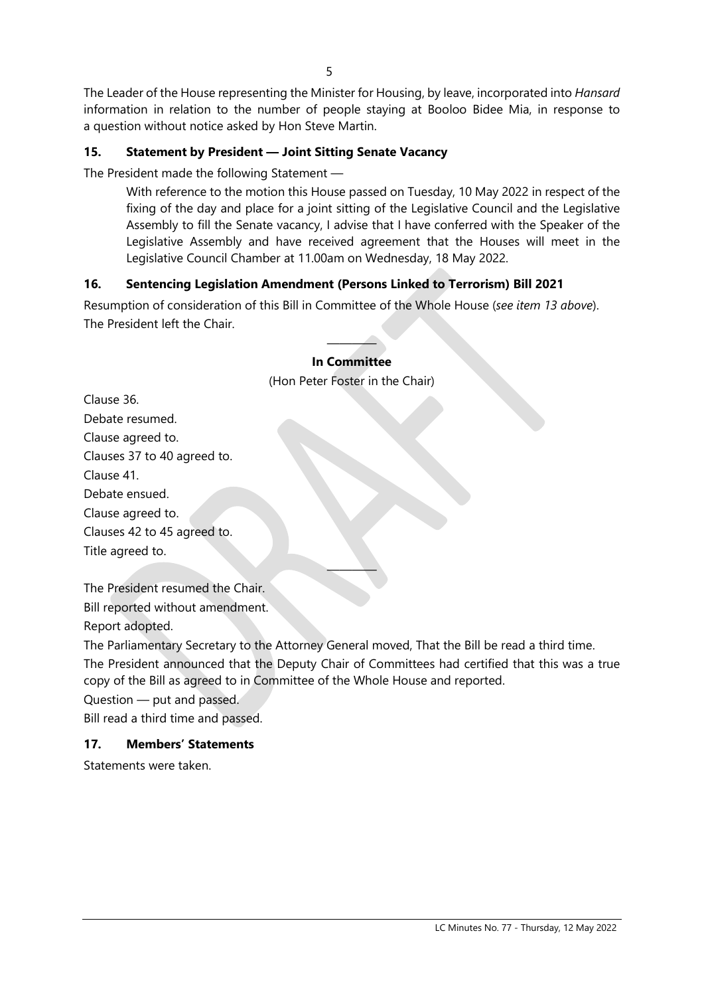The Leader of the House representing the Minister for Housing, by leave, incorporated into *Hansard* information in relation to the number of people staying at Booloo Bidee Mia, in response to a question without notice asked by Hon Steve Martin.

#### **15. Statement by President — Joint Sitting Senate Vacancy**

The President made the following Statement —

With reference to the motion this House passed on Tuesday, 10 May 2022 in respect of the fixing of the day and place for a joint sitting of the Legislative Council and the Legislative Assembly to fill the Senate vacancy, I advise that I have conferred with the Speaker of the Legislative Assembly and have received agreement that the Houses will meet in the Legislative Council Chamber at 11.00am on Wednesday, 18 May 2022.

#### **16. Sentencing Legislation Amendment (Persons Linked to Terrorism) Bill 2021**

Resumption of consideration of this Bill in Committee of the Whole House (*see item 13 above*). The President left the Chair.

# **In Committee** (Hon Peter Foster in the Chair)

————

| Clause 36.                  |
|-----------------------------|
| Debate resumed.             |
| Clause agreed to.           |
| Clauses 37 to 40 agreed to. |
| Clause 41.                  |
| Debate ensued.              |
| Clause agreed to.           |
| Clauses 42 to 45 agreed to. |
| Title agreed to.            |

The President resumed the Chair. Bill reported without amendment. Report adopted.

The Parliamentary Secretary to the Attorney General moved, That the Bill be read a third time.

The President announced that the Deputy Chair of Committees had certified that this was a true copy of the Bill as agreed to in Committee of the Whole House and reported.

————

Question — put and passed.

Bill read a third time and passed.

#### **17. Members' Statements**

Statements were taken.